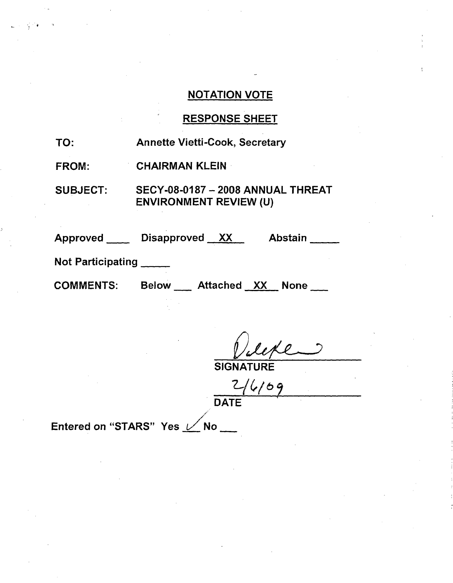# **NOTATION VOTE**

# **RESPONSE SHEET**

| TO:                    | <b>Annette Vietti-Cook, Secretary</b>                                     |  |  |  |
|------------------------|---------------------------------------------------------------------------|--|--|--|
| <b>FROM:</b>           | <b>CHAIRMAN KLEIN</b>                                                     |  |  |  |
| <b>SUBJECT:</b>        | <b>SECY-08-0187 - 2008 ANNUAL THREAT</b><br><b>ENVIRONMENT REVIEW (U)</b> |  |  |  |
|                        | Approved Disapproved XX<br>Abstain                                        |  |  |  |
| Not Participating ____ |                                                                           |  |  |  |
| COMMENTS.              | <b>Dolovu</b><br>Affachad VV<br>Nano                                      |  |  |  |

**SIGNATURE** 

 $\frac{2}{1675}$ 

Entered on "STARS" Yes / No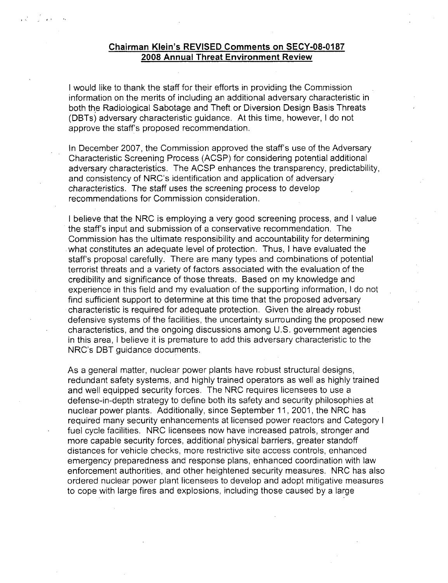#### Chairman Klein's REVISED Comments on **SECY-08-0187 2008** Annual Threat Environment Review

I would like to thank the staff for their efforts in providing the Commission information on the merits of including an additional adversary characteristic in both the Radiological Sabotage and Theft or Diversion Design Basis Threats (DBTs) adversary characteristic guidance. At this time, however, I do not approve the staff's proposed recommendation.

In December 2007, the Commission approved the staff's use of the Adversary Characteristic Screening Process (ACSP) for considering potential additional adversary characteristics. The ACSP enhances the transparency, predictability, and consistency of NRC's identification and application of adversary characteristics. The staff uses the screening process to develop recommendations for Commission consideration.

I believe that the NRC is employing a very good screening process, and I value the staff's input and submission of a conservative recommendation. The Commission has the ultimate responsibility and accountability for determining .what constitutes an adequate level of protection. Thus, I have evaluated the staff's proposal carefully. There are many types and combinations of potential terrorist threats and a variety of factors associated with the evaluation of the credibility and significance of those threats. Based on my knowledge and experience in this field and my evaluation of the supporting information, I do not find sufficient support to determine at this time that the proposed adversary characteristic is required for adequate protection. Given the already robust defensive systems of the facilities, the uncertainty surrounding the proposed new characteristics, and the ongoing discussions among U.S. government agencies in this area, I believe it is premature to add this adversary characteristic to the NRC's DBT guidance documents.

As a general matter, nuclear power plants have robust structural designs, redundant safety systems, and highly trained operators as well as highly trained and well equipped security forces. The NRC requires licensees to use a defense-in-depth strategy to define both its safety and security philosophies at nuclear power plants. Additionally, since September 11, 2001, the NRC has required many security enhancements at licensed power reactors and Category I fuel cycle facilities. NRC licensees now have increased patrols, stronger and more capable security forces, additional physical barriers, greater standoff distances for vehicle checks, more restrictive site access controls, enhanced emergency preparedness and response plans, enhanced coordination with law enforcement authorities, and other heightened security measures. NRC has also ordered nuclear power plant licensees to develop and adopt mitigative measures to cope with large fires and explosions, including those caused by a large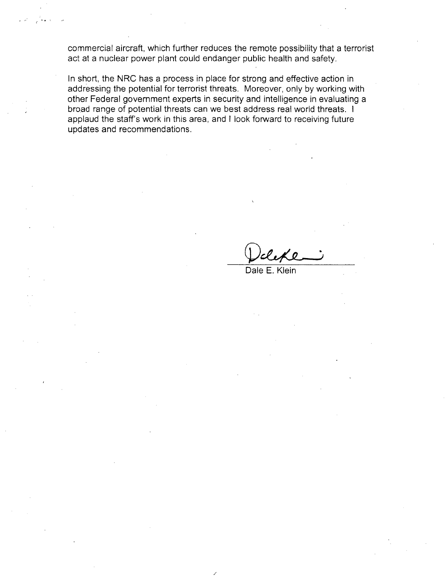commercial aircraft, which further reduces the remote possibility that a terrorist act at a nuclear power plant could endanger public health and safety.

In short, the NRC has a process in place for strong and effective action in addressing the potential for terrorist threats. Moreover, only by working with other Federal government experts in security and intelligence in evaluating a broad range of potential threats can we best address real world threats. I applaud the staff's work in this area, and I look forward to receiving future updates and recommendations.

Dale E. Klein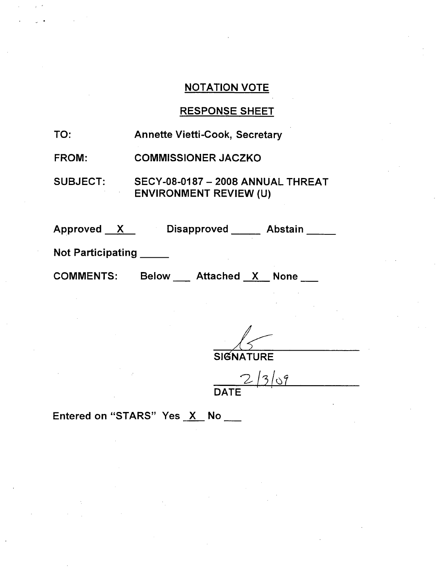## NOTATION VOTE

### RESPONSE SHEET

| TO:<br><b>Annette Vietti-Cook, Secretary</b> |  |
|----------------------------------------------|--|
|----------------------------------------------|--|

FROM: COMMISSIONER JACZKO

SUBJECT: SECY-08-0187 - 2008 ANNUAL THREAT ENVIRONMENT REVIEW (U)

| Approved |  | <b>Disapproved</b> | <b>Abstain</b> |  |
|----------|--|--------------------|----------------|--|
|----------|--|--------------------|----------------|--|

Not Participating

COMMENTS:

Attached X None

**SIGNATURE** 

 $2/3/9$ **DATE**

Entered on "STARS" Yes X No \_\_